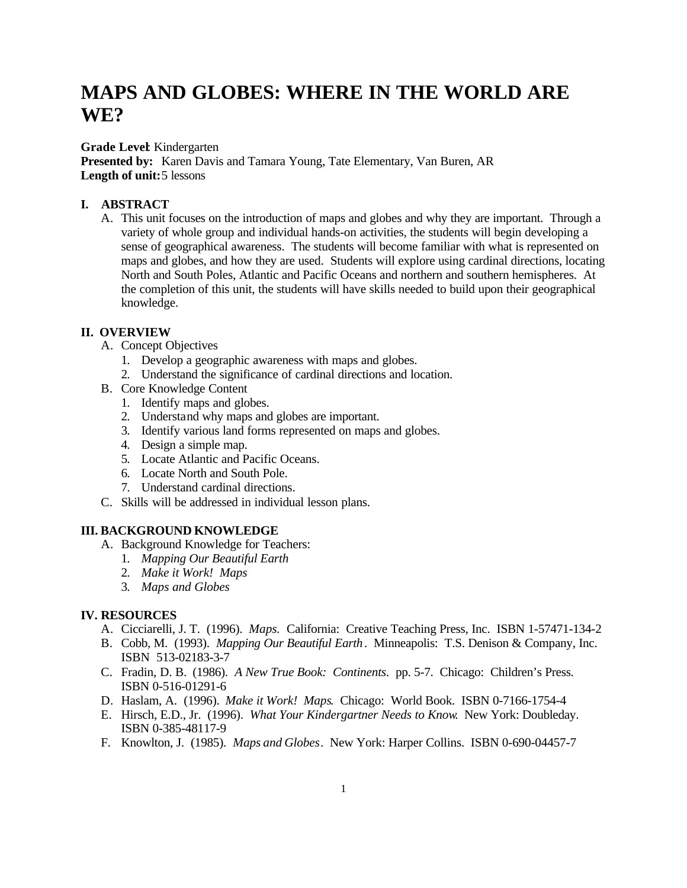# **MAPS AND GLOBES: WHERE IN THE WORLD ARE WE?**

#### **Grade Level**: Kindergarten

**Presented by:** Karen Davis and Tamara Young, Tate Elementary, Van Buren, AR **Length of unit:**5 lessons

#### **I. ABSTRACT**

A. This unit focuses on the introduction of maps and globes and why they are important. Through a variety of whole group and individual hands-on activities, the students will begin developing a sense of geographical awareness. The students will become familiar with what is represented on maps and globes, and how they are used. Students will explore using cardinal directions, locating North and South Poles, Atlantic and Pacific Oceans and northern and southern hemispheres. At the completion of this unit, the students will have skills needed to build upon their geographical knowledge.

### **II. OVERVIEW**

- A. Concept Objectives
	- 1. Develop a geographic awareness with maps and globes.
	- 2. Understand the significance of cardinal directions and location.
- B. Core Knowledge Content
	- 1. Identify maps and globes.
	- 2. Understand why maps and globes are important.
	- 3. Identify various land forms represented on maps and globes.
	- 4. Design a simple map.
	- 5. Locate Atlantic and Pacific Oceans.
	- 6. Locate North and South Pole.
	- 7. Understand cardinal directions.
- C. Skills will be addressed in individual lesson plans.

#### **III. BACKGROUND KNOWLEDGE**

- A. Background Knowledge for Teachers:
	- 1. *Mapping Our Beautiful Earth*
	- 2. *Make it Work! Maps*
	- 3. *Maps and Globes*

#### **IV. RESOURCES**

- A. Cicciarelli, J. T. (1996). *Maps.* California: Creative Teaching Press, Inc. ISBN 1-57471-134-2
- B. Cobb, M. (1993). *Mapping Our Beautiful Earth*. Minneapolis: T.S. Denison & Company, Inc. ISBN513-02183-3-7
- C. Fradin, D. B.(1986). *A New True Book: Continents*. pp. 5-7. Chicago: Children's Press. ISBN 0-516-01291-6
- D. Haslam, A. (1996). *Make it Work! Maps*. Chicago: World Book. ISBN 0-7166-1754-4
- E. Hirsch, E.D., Jr. (1996). *What Your Kindergartner Needs to Know*. New York: Doubleday. ISBN 0-385-48117-9
- F. Knowlton, J. (1985). *Maps and Globes*. New York: Harper Collins. ISBN 0-690-04457-7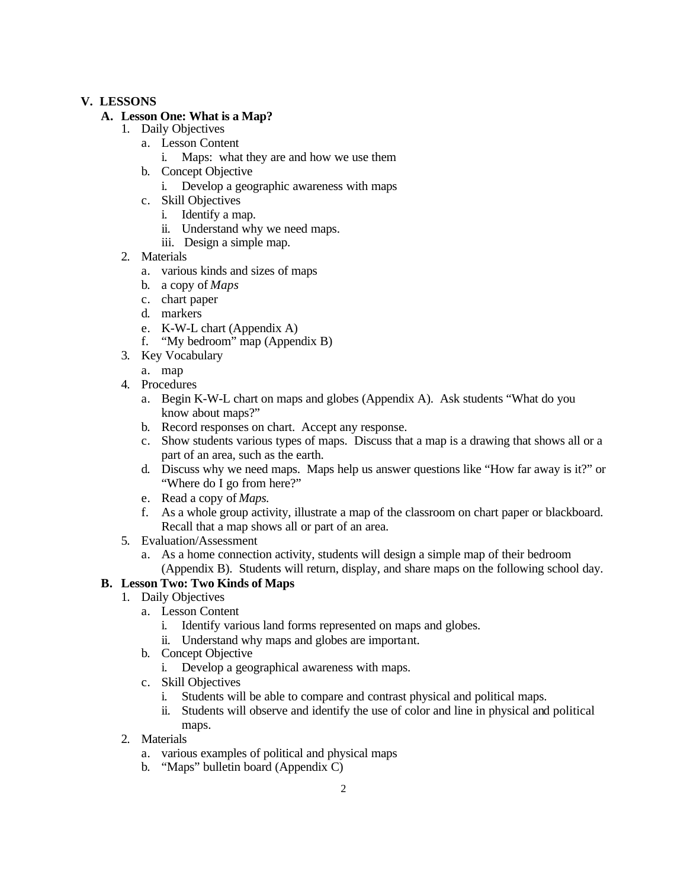### **V. LESSONS**

### **A. Lesson One: What is a Map?**

- 1. Daily Objectives
	- a. Lesson Content
		- i. Maps: what they are and how we use them
	- b. Concept Objective
		- i. Develop a geographic awareness with maps
	- c. Skill Objectives
		- i. Identify a map.
		- ii. Understand why we need maps.
		- iii. Design a simple map.
- 2. Materials
	- a. various kinds and sizes of maps
	- b. a copy of *Maps*
	- c. chart paper
	- d. markers
	- e. K-W-L chart (Appendix A)
	- f. "My bedroom" map (Appendix B)
- 3. Key Vocabulary
	- a. map
- 4. Procedures
	- a. Begin K-W-L chart on maps and globes (Appendix A). Ask students "What do you know about maps?"
	- b. Record responses on chart. Accept any response.
	- c. Show students various types of maps. Discuss that a map is a drawing that shows all or a part of an area, such as the earth.
	- d. Discuss why we need maps. Maps help us answer questions like "How far away is it?" or "Where do I go from here?"
	- e. Read a copy of *Maps.*
	- f. As a whole group activity, illustrate a map of the classroom on chart paper or blackboard. Recall that a map shows all or part of an area.
- 5. Evaluation/Assessment
	- a. As a home connection activity, students will design a simple map of their bedroom (Appendix B). Students will return, display, and share maps on the following school day.

## **B. Lesson Two: Two Kinds of Maps**

- 1. Daily Objectives
	- a. Lesson Content
		- i. Identify various land forms represented on maps and globes.
		- ii. Understand why maps and globes are important.
	- b. Concept Objective
		- i. Develop a geographical awareness with maps.
	- c. Skill Objectives
		- i. Students will be able to compare and contrast physical and political maps.
		- ii. Students will observe and identify the use of color and line in physical and political maps.
- 2. Materials
	- a. various examples of political and physical maps
	- b. "Maps" bulletin board (Appendix C)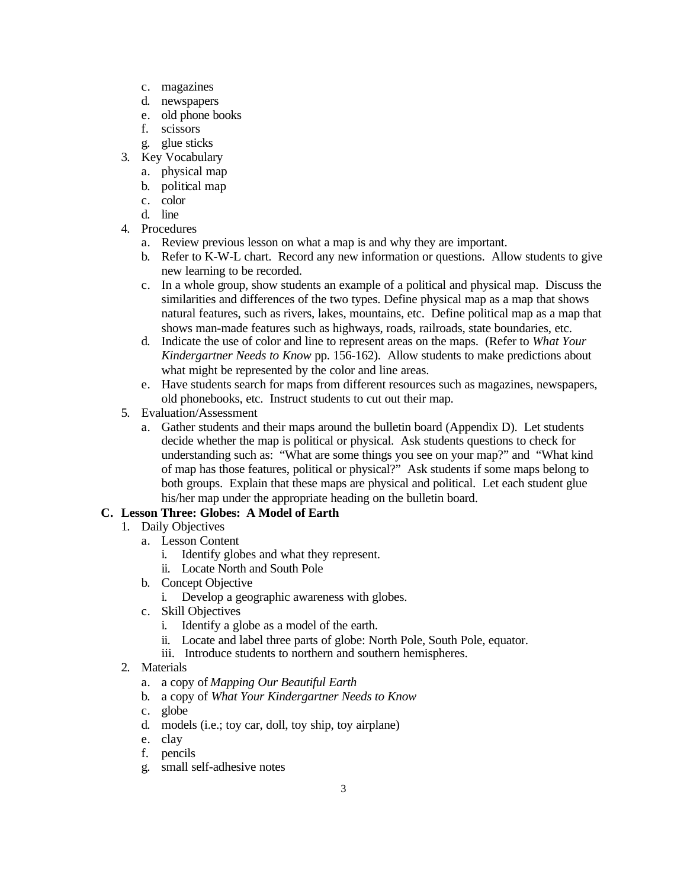- c. magazines
- d. newspapers
- e. old phone books
- f. scissors
- g. glue sticks
- 3. Key Vocabulary
	- a. physical map
	- b. political map
	- c. color
	- d. line
- 4. Procedures
	- a. Review previous lesson on what a map is and why they are important.
	- b. Refer to K-W-L chart. Record any new information or questions. Allow students to give new learning to be recorded.
	- c. In a whole group, show students an example of a political and physical map. Discuss the similarities and differences of the two types. Define physical map as a map that shows natural features, such as rivers, lakes, mountains, etc. Define political map as a map that shows man-made features such as highways, roads, railroads, state boundaries, etc.
	- d. Indicate the use of color and line to represent areas on the maps. (Refer to *What Your Kindergartner Needs to Know* pp. 156-162). Allow students to make predictions about what might be represented by the color and line areas.
	- e. Have students search for maps from different resources such as magazines, newspapers, old phonebooks, etc. Instruct students to cut out their map.
- 5. Evaluation/Assessment
	- a. Gather students and their maps around the bulletin board (Appendix D). Let students decide whether the map is political or physical. Ask students questions to check for understanding such as: "What are some things you see on your map?" and "What kind of map has those features, political or physical?" Ask students if some maps belong to both groups. Explain that these maps are physical and political. Let each student glue his/her map under the appropriate heading on the bulletin board.

## **C. Lesson Three: Globes: A Model of Earth**

- 1. Daily Objectives
	- a. Lesson Content
		- i. Identify globes and what they represent.
		- ii. Locate North and South Pole
	- b. Concept Objective
		- i. Develop a geographic awareness with globes.
	- c. Skill Objectives
		- i. Identify a globe as a model of the earth.
		- ii. Locate and label three parts of globe: North Pole, South Pole, equator.
		- iii. Introduce students to northern and southern hemispheres.
- 2. Materials
	- a. a copy of *Mapping Our Beautiful Earth*
	- b. a copy of *What Your Kindergartner Needs to Know*
	- c. globe
	- d. models (i.e.; toy car, doll, toy ship, toy airplane)
	- e. clay
	- f. pencils
	- g. small self-adhesive notes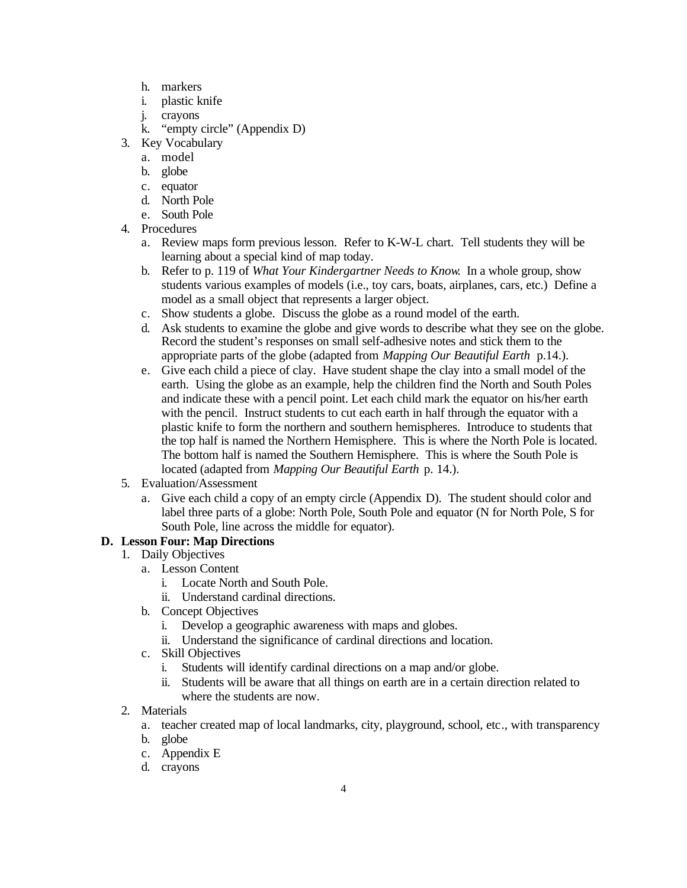- h. markers
- i. plastic knife
- j. crayons
- k. "empty circle" (Appendix D)
- 3. Key Vocabulary
	- a. model
	- b. globe
	- c. equator
	- d. North Pole
	- e. South Pole
- 4. Procedures
	- a. Review maps form previous lesson. Refer to K-W-L chart. Tell students they will be learning about a special kind of map today.
	- b. Refer to p. 119 of *What Your Kindergartner Needs to Know*. In a whole group, show students various examples of models (i.e., toy cars, boats, airplanes, cars, etc.) Define a model as a small object that represents a larger object.
	- c. Show students a globe. Discuss the globe as a round model of the earth.
	- d. Ask students to examine the globe and give words to describe what they see on the globe. Record the student's responses on small self-adhesive notes and stick them to the appropriate parts of the globe (adapted from *Mapping Our Beautiful Earth* p.14.).
	- e. Give each child a piece of clay. Have student shape the clay into a small model of the earth. Using the globe as an example, help the children find the North and South Poles and indicate these with a pencil point. Let each child mark the equator on his/her earth with the pencil. Instruct students to cut each earth in half through the equator with a plastic knife to form the northern and southern hemispheres. Introduce to students that the top half is named the Northern Hemisphere. This is where the North Pole is located. The bottom half is named the Southern Hemisphere. This is where the South Pole is located (adapted from *Mapping Our Beautiful Earth* p. 14.).
- 5. Evaluation/Assessment
	- a. Give each child a copy of an empty circle (Appendix D). The student should color and label three parts of a globe: North Pole, South Pole and equator (N for North Pole, S for South Pole, line across the middle for equator).

## **D. Lesson Four: Map Directions**

- 1. Daily Objectives
	- a. Lesson Content
		- i. Locate North and South Pole.
		- ii. Understand cardinal directions.
	- b. Concept Objectives
		- i. Develop a geographic awareness with maps and globes.
		- ii. Understand the significance of cardinal directions and location.
	- c. Skill Objectives
		- i. Students will identify cardinal directions on a map and/or globe.
		- ii. Students will be aware that all things on earth are in a certain direction related to where the students are now.
- 2. Materials
	- a. teacher created map of local landmarks, city, playground, school, etc., with transparency
	- b. globe
	- c. Appendix E
	- d. crayons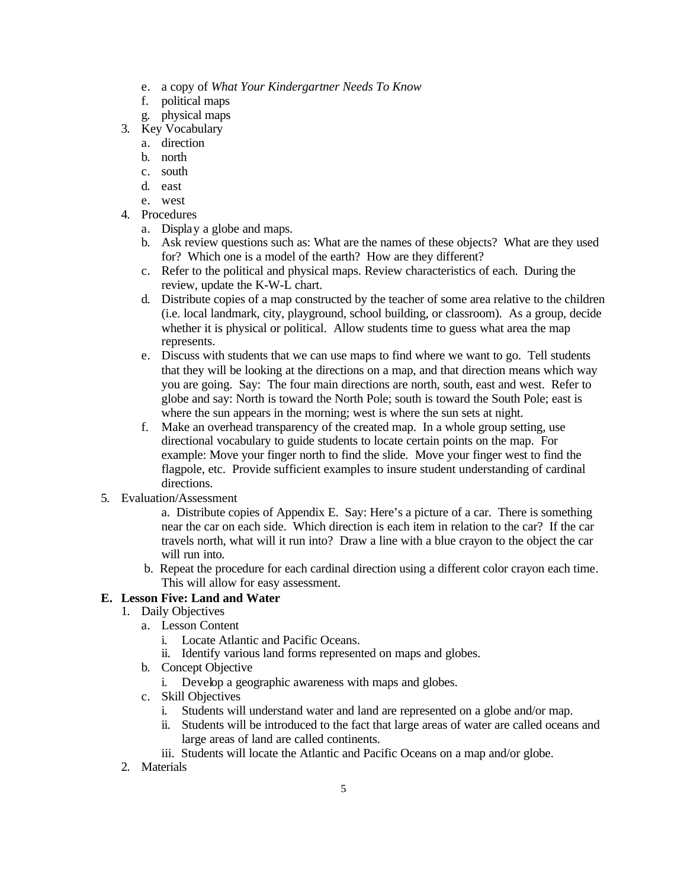- e. a copy of *What Your Kindergartner Needs To Know*
- f. political maps
- g. physical maps
- 3. Key Vocabulary
	- a. direction
	- b. north
	- c. south
	- d. east
	- e. west
- 4. Procedures
	- a. Display a globe and maps.
	- b. Ask review questions such as: What are the names of these objects? What are they used for? Which one is a model of the earth? How are they different?
	- c. Refer to the political and physical maps. Review characteristics of each. During the review, update the K-W-L chart.
	- d. Distribute copies of a map constructed by the teacher of some area relative to the children (i.e. local landmark, city, playground, school building, or classroom). As a group, decide whether it is physical or political. Allow students time to guess what area the map represents.
	- e. Discuss with students that we can use maps to find where we want to go. Tell students that they will be looking at the directions on a map, and that direction means which way you are going. Say: The four main directions are north, south, east and west. Refer to globe and say: North is toward the North Pole; south is toward the South Pole; east is where the sun appears in the morning; west is where the sun sets at night.
	- f. Make an overhead transparency of the created map. In a whole group setting, use directional vocabulary to guide students to locate certain points on the map. For example: Move your finger north to find the slide. Move your finger west to find the flagpole, etc. Provide sufficient examples to insure student understanding of cardinal directions.
- 5. Evaluation/Assessment
	- a. Distribute copies of Appendix E. Say: Here's a picture of a car. There is something near the car on each side. Which direction is each item in relation to the car? If the car travels north, what will it run into? Draw a line with a blue crayon to the object the car will run into.
	- b. Repeat the procedure for each cardinal direction using a different color crayon each time. This will allow for easy assessment.

## **E. Lesson Five: Land and Water**

- 1. Daily Objectives
	- a. Lesson Content
		- i. Locate Atlantic and Pacific Oceans.
		- ii. Identify various land forms represented on maps and globes.
	- b. Concept Objective
		- i. Develop a geographic awareness with maps and globes.
	- c. Skill Objectives
		- i. Students will understand water and land are represented on a globe and/or map.
		- ii. Students will be introduced to the fact that large areas of water are called oceans and large areas of land are called continents.
		- iii. Students will locate the Atlantic and Pacific Oceans on a map and/or globe.
- 2. Materials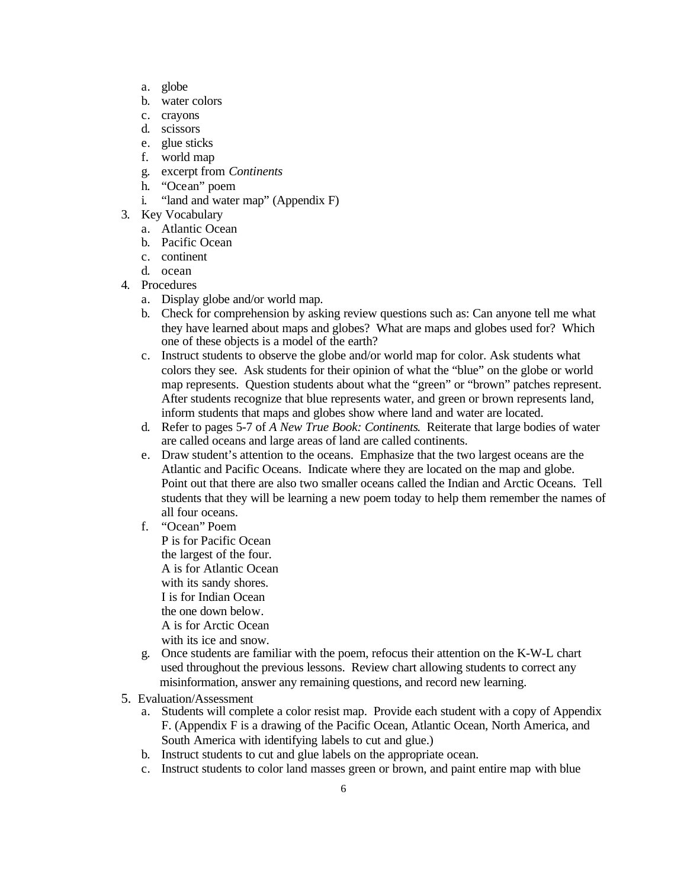- a. globe
- b. water colors
- c. crayons
- d. scissors
- e. glue sticks
- f. world map
- g. excerpt from *Continents*
- h. "Ocean" poem
- i. "land and water map" (Appendix F)
- 3. Key Vocabulary
	- a. Atlantic Ocean
	- b. Pacific Ocean
	- c. continent
	- d. ocean
- 4. Procedures
	- a. Display globe and/or world map.
	- b. Check for comprehension by asking review questions such as: Can anyone tell me what they have learned about maps and globes? What are maps and globes used for? Which one of these objects is a model of the earth?
	- c. Instruct students to observe the globe and/or world map for color. Ask students what colors they see. Ask students for their opinion of what the "blue" on the globe or world map represents. Question students about what the "green" or "brown" patches represent. After students recognize that blue represents water, and green or brown represents land, inform students that maps and globes show where land and water are located.
	- d. Refer to pages 5-7 of *A New True Book: Continents*. Reiterate that large bodies of water are called oceans and large areas of land are called continents.
	- e. Draw student's attention to the oceans. Emphasize that the two largest oceans are the Atlantic and Pacific Oceans. Indicate where they are located on the map and globe. Point out that there are also two smaller oceans called the Indian and Arctic Oceans. Tell students that they will be learning a new poem today to help them remember the names of all four oceans.
	- f. "Ocean" Poem P is for Pacific Ocean the largest of the four. A is for Atlantic Ocean with its sandy shores. I is for Indian Ocean the one down below. A is for Arctic Ocean
		- with its ice and snow.
	- g. Once students are familiar with the poem, refocus their attention on the K-W-L chart used throughout the previous lessons. Review chart allowing students to correct any misinformation, answer any remaining questions, and record new learning.
- 5. Evaluation/Assessment
	- a. Students will complete a color resist map. Provide each student with a copy of Appendix F. (Appendix F is a drawing of the Pacific Ocean, Atlantic Ocean, North America, and South America with identifying labels to cut and glue.)
	- b. Instruct students to cut and glue labels on the appropriate ocean.
	- c. Instruct students to color land masses green or brown, and paint entire map with blue